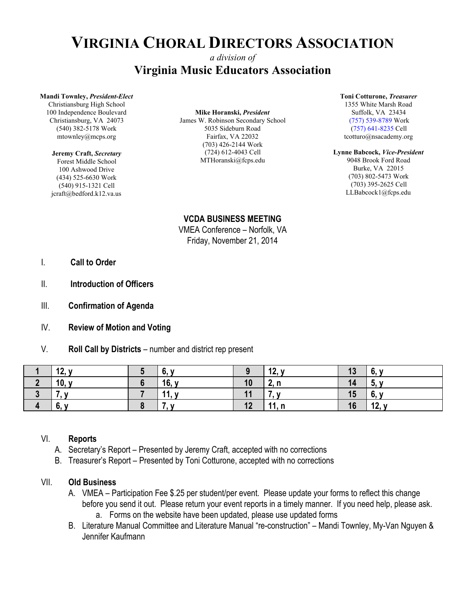# **VIRGINIA CHORAL DIRECTORS ASSOCIATION**

## *a division of* **Virginia Music Educators Association**

#### **Mandi Townley,** *President-Elect*

Christiansburg High School 100 Independence Boulevard Christiansburg, VA 24073 (540) 382-5178 Work mtownley@mcps.org

#### **Jeremy Craft,** *Secretary*

Forest Middle School 100 Ashwood Drive (434) 525-6630 Work (540) 915-1321 Cell jcraft@bedford.k12.va.us

### **Mike Horanski,** *President*

James W. Robinson Secondary School 5035 Sideburn Road Fairfax, VA 22032 (703) 426-2144 Work (724) 612-4043 Cell MTHoranski@fcps.edu

#### **Toni Cotturone,** *Treasurer* 1355 White Marsh Road

Suffolk, VA 23434 (757) 539-8789 Work (757) 641-8235 Cell tcotturo@nsacademy.org

#### **Lynne Babcock,** *Vice-President*

9048 Brook Ford Road Burke, VA 22015 (703) 802-5473 Work (703) 395-2625 Cell LLBabcock1@fcps.edu

**VCDA BUSINESS MEETING** VMEA Conference – Norfolk, VA Friday, November 21, 2014

- I. **Call to Order**
- II. **Introduction of Officers**
- III. **Confirmation of Agenda**
- IV. **Review of Motion and Voting**
- V. **Roll Call by Districts** number and district rep present

| 12, y    | O.    |    | 12, y | 13 | O.    |
|----------|-------|----|-------|----|-------|
| 10, y    | 16, y | 10 | 2, n  | 14 | ้ว.   |
|          | 11, y | 11 |       | 15 | 6,    |
| c.<br>O, |       | 12 | 11, n | 16 | 12, y |

#### VI. **Reports**

- A. Secretary's Report Presented by Jeremy Craft, accepted with no corrections
- B. Treasurer's Report Presented by Toni Cotturone, accepted with no corrections

### VII. **Old Business**

- A. VMEA Participation Fee \$.25 per student/per event. Please update your forms to reflect this change before you send it out. Please return your event reports in a timely manner. If you need help, please ask. a. Forms on the website have been updated, please use updated forms
- B. Literature Manual Committee and Literature Manual "re-construction" Mandi Townley, My-Van Nguyen & Jennifer Kaufmann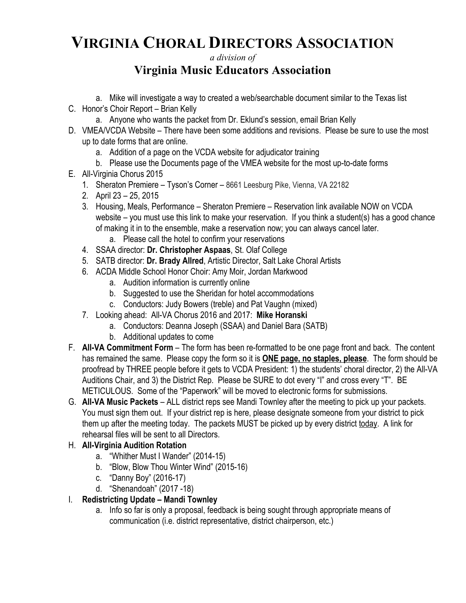# **VIRGINIA CHORAL DIRECTORS ASSOCIATION**

*a division of*

## **Virginia Music Educators Association**

- a. Mike will investigate a way to created a web/searchable document similar to the Texas list
- C. Honor's Choir Report Brian Kelly
	- a. Anyone who wants the packet from Dr. Eklund's session, email Brian Kelly
- D. VMEA/VCDA Website There have been some additions and revisions. Please be sure to use the most up to date forms that are online.
	- a. Addition of a page on the VCDA website for adjudicator training
	- b. Please use the Documents page of the VMEA website for the most up-to-date forms
- E. All-Virginia Chorus 2015
	- 1. Sheraton Premiere Tyson's Corner 8661 Leesburg Pike, Vienna, VA 22182
	- 2. April 23 25, 2015
	- 3. Housing, Meals, Performance Sheraton Premiere Reservation link available NOW on VCDA website – you must use this link to make your reservation. If you think a student(s) has a good chance of making it in to the ensemble, make a reservation now; you can always cancel later.
		- a. Please call the hotel to confirm your reservations
	- 4. SSAA director: **Dr. Christopher Aspaas**, St. Olaf College
	- 5. SATB director: **Dr. Brady Allred**, Artistic Director, Salt Lake Choral Artists
	- 6. ACDA Middle School Honor Choir: Amy Moir, Jordan Markwood
		- a. Audition information is currently online
		- b. Suggested to use the Sheridan for hotel accommodations
		- c. Conductors: Judy Bowers (treble) and Pat Vaughn (mixed)
	- 7. Looking ahead: All-VA Chorus 2016 and 2017: **Mike Horanski**
		- a. Conductors: Deanna Joseph (SSAA) and Daniel Bara (SATB)
		- b. Additional updates to come
- F. **All-VA Commitment Form** The form has been re-formatted to be one page front and back. The content has remained the same. Please copy the form so it is **ONE page, no staples, please**. The form should be proofread by THREE people before it gets to VCDA President: 1) the students' choral director, 2) the All-VA Auditions Chair, and 3) the District Rep. Please be SURE to dot every "I" and cross every "T". BE METICULOUS. Some of the "Paperwork" will be moved to electronic forms for submissions.
- G. **All-VA Music Packets** ALL district reps see Mandi Townley after the meeting to pick up your packets. You must sign them out. If your district rep is here, please designate someone from your district to pick them up after the meeting today. The packets MUST be picked up by every district today. A link for rehearsal files will be sent to all Directors.

## H. **All-Virginia Audition Rotation**

- a. "Whither Must I Wander" (2014-15)
- b. "Blow, Blow Thou Winter Wind" (2015-16)
- c. "Danny Boy" (2016-17)
- d. "Shenandoah" (2017 -18)
- I. **Redistricting Update Mandi Townley**
	- a. Info so far is only a proposal, feedback is being sought through appropriate means of communication (i.e. district representative, district chairperson, etc.)